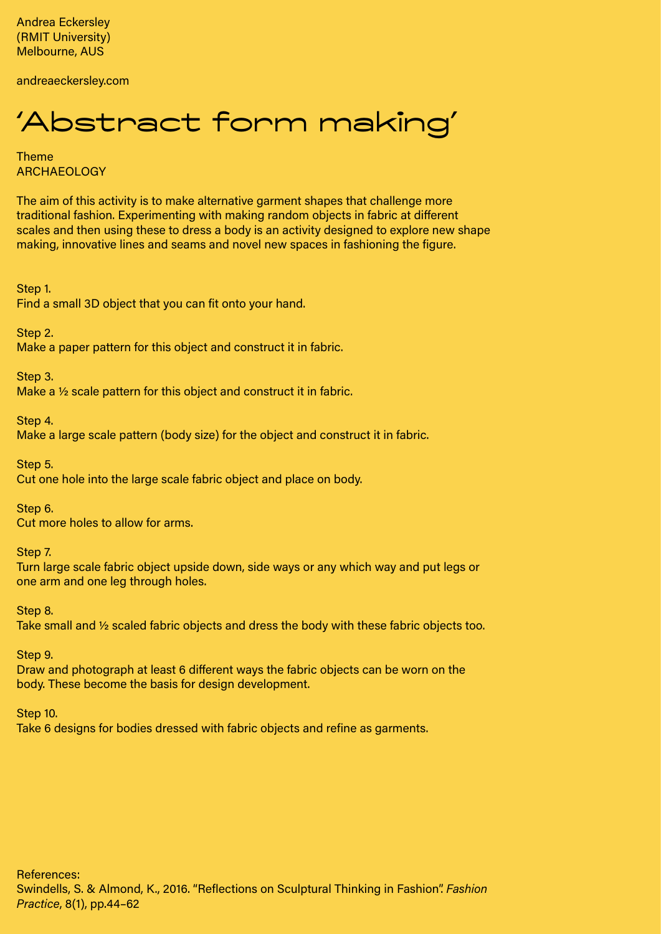Andrea Eckersley (RMIT University) Melbourne, AUS

andreaeckersley.com

## 'Abstract form making'

Theme ARCHAEOLOGY

The aim of this activity is to make alternative garment shapes that challenge more traditional fashion. Experimenting with making random objects in fabric at different scales and then using these to dress a body is an activity designed to explore new shape making, innovative lines and seams and novel new spaces in fashioning the figure.

Step 1. Find a small 3D object that you can fit onto your hand.

Step 2. Make a paper pattern for this object and construct it in fabric.

Step 3. Make a ½ scale pattern for this object and construct it in fabric.

Step 4. Make a large scale pattern (body size) for the object and construct it in fabric.

Step 5. Cut one hole into the large scale fabric object and place on body.

Step 6. Cut more holes to allow for arms.

Step 7.

Turn large scale fabric object upside down, side ways or any which way and put legs or one arm and one leg through holes.

Step 8. Take small and ½ scaled fabric objects and dress the body with these fabric objects too.

Step 9.

Draw and photograph at least 6 different ways the fabric objects can be worn on the body. These become the basis for design development.

Step 10.

Take 6 designs for bodies dressed with fabric objects and refine as garments.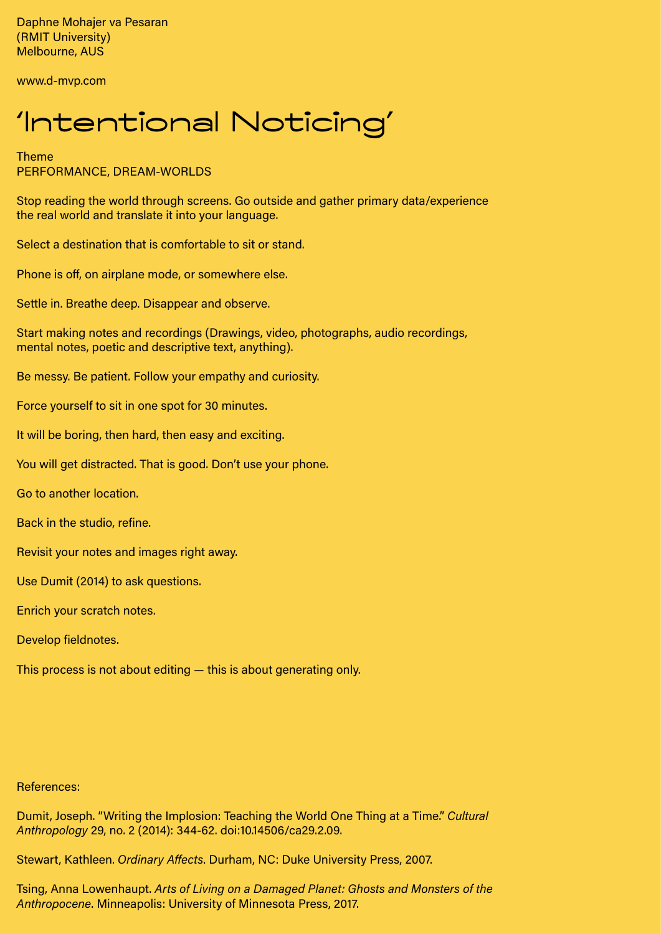Daphne Mohajer va Pesaran (RMIT University) Melbourne, AUS

www.d-mvp.com

## 'Intentional Noticing'

Theme PERFORMANCE, DREAM-WORLDS

Stop reading the world through screens. Go outside and gather primary data/experience the real world and translate it into your language.

Select a destination that is comfortable to sit or stand.

Phone is off, on airplane mode, or somewhere else.

Settle in. Breathe deep. Disappear and observe.

Start making notes and recordings (Drawings, video, photographs, audio recordings, mental notes, poetic and descriptive text, anything).

Be messy. Be patient. Follow your empathy and curiosity.

Force yourself to sit in one spot for 30 minutes.

It will be boring, then hard, then easy and exciting.

You will get distracted. That is good. Don't use your phone.

Go to another location.

Back in the studio, refine.

Revisit your notes and images right away.

Use Dumit (2014) to ask questions.

Enrich your scratch notes.

Develop fieldnotes.

This process is not about editing — this is about generating only.

References:

Dumit, Joseph. "Writing the Implosion: Teaching the World One Thing at a Time." *Cultural Anthropology* 29, no. 2 (2014): 344-62. doi:10.14506/ca29.2.09.

Stewart, Kathleen. *Ordinary Affects*. Durham, NC: Duke University Press, 2007.

Tsing, Anna Lowenhaupt. *Arts of Living on a Damaged Planet: Ghosts and Monsters of the Anthropocene*. Minneapolis: University of Minnesota Press, 2017.